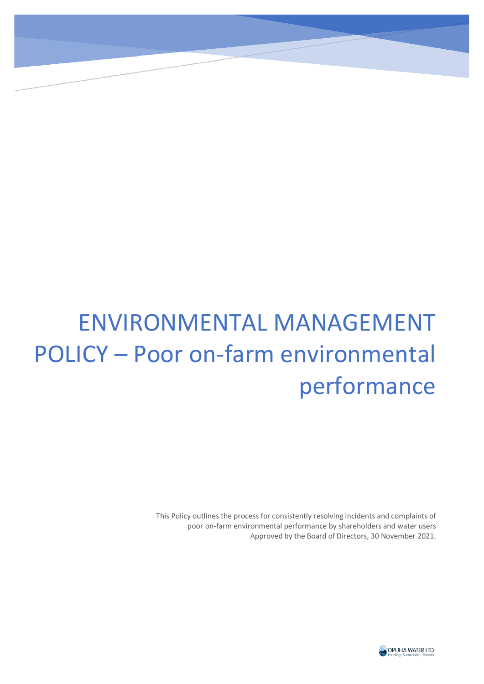# ENVIRONMENTAL MANAGEMENT POLICY – Poor on-farm environmental performance

This Policy outlines the process for consistently resolving incidents and complaints of poor on-farm environmental performance by shareholders and water users Approved by the Board of Directors, 30 November 2021.

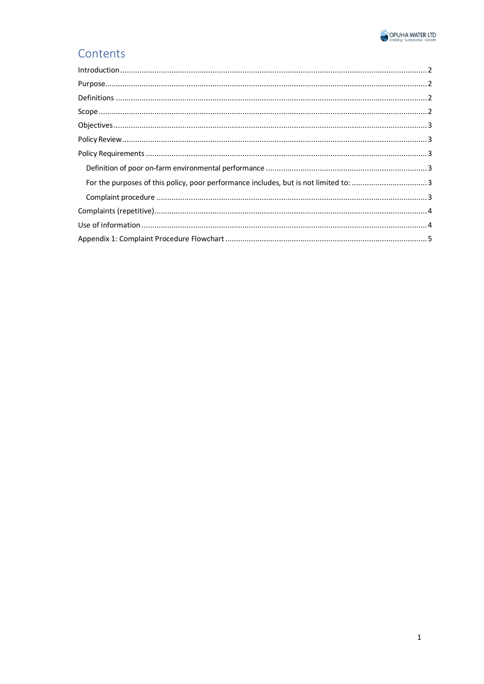

# Contents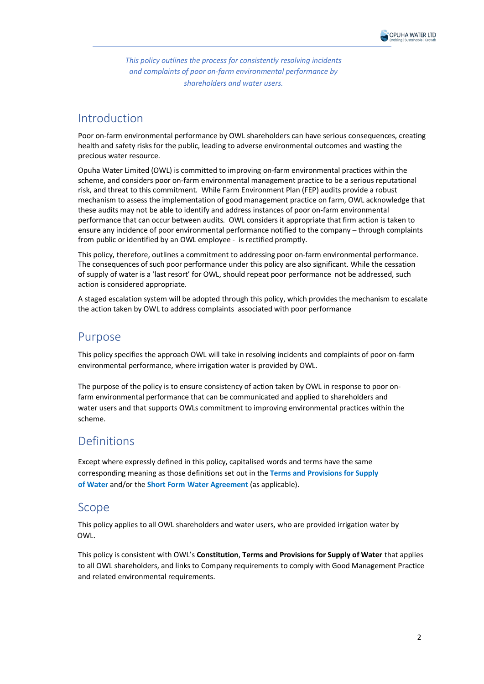*This policy outlines the process for consistently resolving incidents and complaints of poor on-farm environmental performance by shareholders and water users.* 

#### <span id="page-2-0"></span>Introduction

Poor on-farm environmental performance by OWL shareholders can have serious consequences, creating health and safety risks for the public, leading to adverse environmental outcomes and wasting the precious water resource.

Opuha Water Limited (OWL) is committed to improving on-farm environmental practices within the scheme, and considers poor on-farm environmental management practice to be a serious reputational risk, and threat to this commitment. While Farm Environment Plan (FEP) audits provide a robust mechanism to assess the implementation of good management practice on farm, OWL acknowledge that these audits may not be able to identify and address instances of poor on-farm environmental performance that can occur between audits. OWL considers it appropriate that firm action is taken to ensure any incidence of poor environmental performance notified to the company – through complaints from public or identified by an OWL employee - is rectified promptly.

This policy, therefore, outlines a commitment to addressing poor on-farm environmental performance. The consequences of such poor performance under this policy are also significant. While the cessation of supply of water is a 'last resort' for OWL, should repeat poor performance not be addressed, such action is considered appropriate.

A staged escalation system will be adopted through this policy, which provides the mechanism to escalate the action taken by OWL to address complaints associated with poor performance

### <span id="page-2-1"></span>Purpose

This policy specifies the approach OWL will take in resolving incidents and complaints of poor on-farm environmental performance, where irrigation water is provided by OWL.

The purpose of the policy is to ensure consistency of action taken by OWL in response to poor onfarm environmental performance that can be communicated and applied to shareholders and water users and that supports OWLs commitment to improving environmental practices within the scheme.

## <span id="page-2-2"></span>Definitions

Except where expressly defined in this policy, capitalised words and terms have the same corresponding meaning as those definitions set out in the **Terms and Provisions for Supply of Water** and/or the **Short Form Water Agreement** (as applicable).

#### <span id="page-2-3"></span>Scope

This policy applies to all OWL shareholders and water users, who are provided irrigation water by OWL.

<span id="page-2-4"></span>This policy is consistent with OWL's **Constitution**, **Terms and Provisions for Supply of Water** that applies to all OWL shareholders, and links to Company requirements to comply with Good Management Practice and related environmental requirements.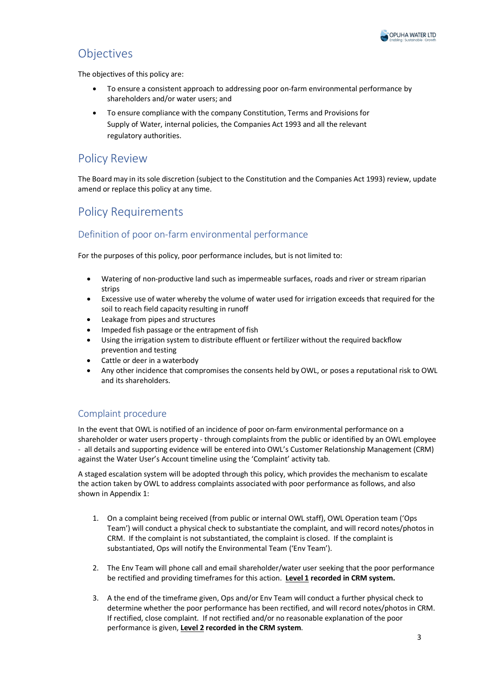

# Objectives

The objectives of this policy are:

- To ensure a consistent approach to addressing poor on-farm environmental performance by shareholders and/or water users; and
- To ensure compliance with the company Constitution, Terms and Provisions for Supply of Water, internal policies, the Companies Act 1993 and all the relevant regulatory authorities.

## <span id="page-3-0"></span>Policy Review

The Board may in its sole discretion (subject to the Constitution and the Companies Act 1993) review, update amend or replace this policy at any time.

# <span id="page-3-1"></span>Policy Requirements

#### <span id="page-3-2"></span>Definition of poor on-farm environmental performance

<span id="page-3-3"></span>For the purposes of this policy, poor performance includes, but is not limited to:

- Watering of non-productive land such as impermeable surfaces, roads and river or stream riparian strips
- Excessive use of water whereby the volume of water used for irrigation exceeds that required for the soil to reach field capacity resulting in runoff
- Leakage from pipes and structures
- Impeded fish passage or the entrapment of fish
- Using the irrigation system to distribute effluent or fertilizer without the required backflow prevention and testing
- Cattle or deer in a waterbody
- Any other incidence that compromises the consents held by OWL, or poses a reputational risk to OWL and its shareholders.

#### <span id="page-3-4"></span>Complaint procedure

In the event that OWL is notified of an incidence of poor on-farm environmental performance on a shareholder or water users property - through complaints from the public or identified by an OWL employee - all details and supporting evidence will be entered into OWL's Customer Relationship Management (CRM) against the Water User's Account timeline using the 'Complaint' activity tab.

A staged escalation system will be adopted through this policy, which provides the mechanism to escalate the action taken by OWL to address complaints associated with poor performance as follows, and also shown in Appendix 1:

- 1. On a complaint being received (from public or internal OWL staff), OWL Operation team ('Ops Team') will conduct a physical check to substantiate the complaint, and will record notes/photos in CRM. If the complaint is not substantiated, the complaint is closed. If the complaint is substantiated, Ops will notify the Environmental Team ('Env Team').
- 2. The Env Team will phone call and email shareholder/water user seeking that the poor performance be rectified and providing timeframes for this action. Level 1 recorded in CRM system.
- 3. A the end of the timeframe given, Ops and/or Env Team will conduct a further physical check to determine whether the poor performance has been rectified, and will record notes/photos in CRM. If rectified, close complaint. If not rectified and/or no reasonable explanation of the poor performance is given, **Level 2 recorded in the CRM system**.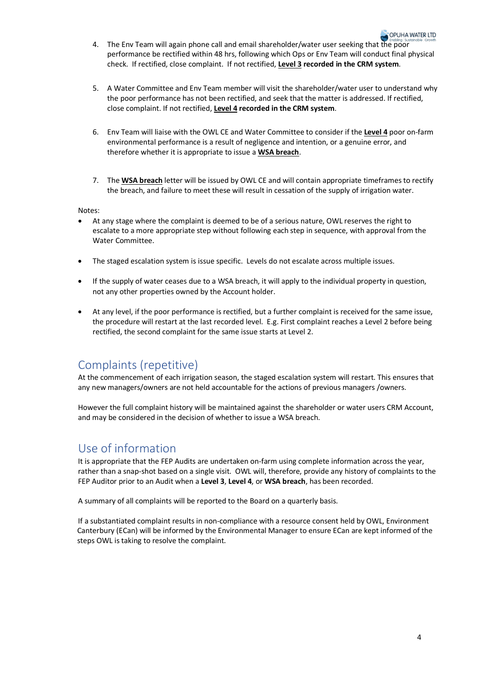- 4. The Env Team will again phone call and email shareholder/water user seeking that the poor performance be rectified within 48 hrs, following which Ops or Env Team will conduct final physical check. If rectified, close complaint. If not rectified, **Level 3 recorded in the CRM system**.
- 5. A Water Committee and Env Team member will visit the shareholder/water user to understand why the poor performance has not been rectified, and seek that the matter is addressed. If rectified, close complaint. If not rectified, **Level 4 recorded in the CRM system**.
- 6. Env Team will liaise with the OWL CE and Water Committee to consider if the **Level 4** poor on-farm environmental performance is a result of negligence and intention, or a genuine error, and therefore whether it is appropriate to issue a **WSA breach**.
- 7. The **WSA breach** letter will be issued by OWL CE and will contain appropriate timeframes to rectify the breach, and failure to meet these will result in cessation of the supply of irrigation water.

Notes:

- At any stage where the complaint is deemed to be of a serious nature, OWL reserves the right to escalate to a more appropriate step without following each step in sequence, with approval from the Water Committee.
- The staged escalation system is issue specific. Levels do not escalate across multiple issues.
- If the supply of water ceases due to a WSA breach, it will apply to the individual property in question, not any other properties owned by the Account holder.
- At any level, if the poor performance is rectified, but a further complaint is received for the same issue, the procedure will restart at the last recorded level. E.g. First complaint reaches a Level 2 before being rectified, the second complaint for the same issue starts at Level 2.

#### <span id="page-4-0"></span>Complaints (repetitive)

At the commencement of each irrigation season, the staged escalation system will restart. This ensures that any new managers/owners are not held accountable for the actions of previous managers /owners.

However the full complaint history will be maintained against the shareholder or water users CRM Account, and may be considered in the decision of whether to issue a WSA breach.

#### <span id="page-4-1"></span>Use of information

It is appropriate that the FEP Audits are undertaken on-farm using complete information across the year, rather than a snap-shot based on a single visit. OWL will, therefore, provide any history of complaints to the FEP Auditor prior to an Audit when a **Level 3**, **Level 4**, or **WSA breach**, has been recorded.

A summary of all complaints will be reported to the Board on a quarterly basis.

If a substantiated complaint results in non-compliance with a resource consent held by OWL, Environment Canterbury (ECan) will be informed by the Environmental Manager to ensure ECan are kept informed of the steps OWL is taking to resolve the complaint.